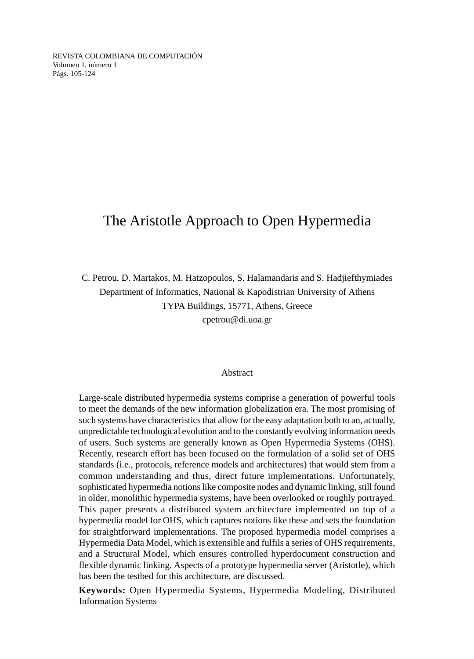REVISTA COLOMBIANA DE COMPUTACIÓN Volumen 1, número 1 Págs. 105-124

#### The Aristotle Approach to Open Hypermedia

C. Petrou, D. Martakos, M. Hatzopoulos, S. Halamandaris and S. Hadjiefthymiades Department of Informatics, National & Kapodistrian University of Athens TYPA Buildings, 15771, Athens, Greece cpetrou@di.uoa.gr

#### Abstract

Large-scale distributed hypermedia systems comprise a generation of powerful tools to meet the demands of the new information globalization era. The most promising of such systems have characteristics that allow for the easy adaptation both to an, actually, unpredictable technological evolution and to the constantly evolving information needs of users. Such systems are generally known as Open Hypermedia Systems (OHS). Recently, research effort has been focused on the formulation of a solid set of OHS standards (i.e., protocols, reference models and architectures) that would stem from a common understanding and thus, direct future implementations. Unfortunately, sophisticated hypermedia notions like composite nodes and dynamic linking, still found in older, monolithic hypermedia systems, have been overlooked or roughly portrayed. This paper presents a distributed system architecture implemented on top of a hypermedia model for OHS, which captures notions like these and sets the foundation for straightforward implementations. The proposed hypermedia model comprises a Hypermedia Data Model, which is extensible and fulfils a series of OHS requirements, and a Structural Model, which ensures controlled hyperdocument construction and flexible dynamic linking. Aspects of a prototype hypermedia server (Aristotle), which has been the testbed for this architecture, are discussed.

**Keywords:** Open Hypermedia Systems, Hypermedia Modeling, Distributed Information Systems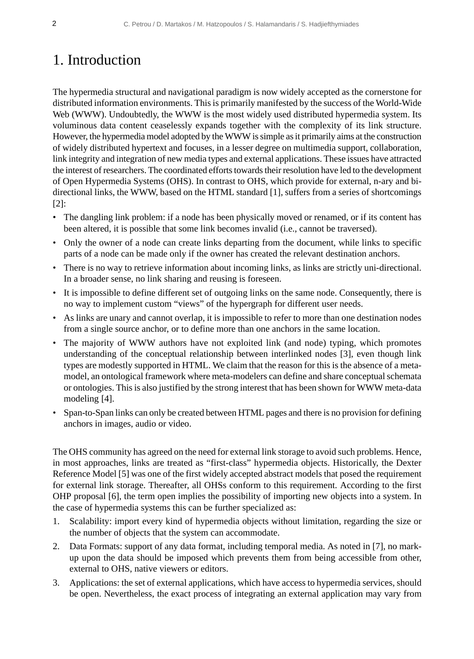# 1. Introduction

The hypermedia structural and navigational paradigm is now widely accepted as the cornerstone for distributed information environments. This is primarily manifested by the success of the World-Wide Web (WWW). Undoubtedly, the WWW is the most widely used distributed hypermedia system. Its voluminous data content ceaselessly expands together with the complexity of its link structure. However, the hypermedia model adopted by the WWW is simple as it primarily aims at the construction of widely distributed hypertext and focuses, in a lesser degree on multimedia support, collaboration, link integrity and integration of new media types and external applications. These issues have attracted the interest of researchers. The coordinated efforts towards their resolution have led to the development of Open Hypermedia Systems (OHS). In contrast to OHS, which provide for external, n-ary and bidirectional links, the WWW, based on the HTML standard [1], suffers from a series of shortcomings [2]:

- The dangling link problem: if a node has been physically moved or renamed, or if its content has been altered, it is possible that some link becomes invalid (i.e., cannot be traversed).
- Only the owner of a node can create links departing from the document, while links to specific parts of a node can be made only if the owner has created the relevant destination anchors.
- There is no way to retrieve information about incoming links, as links are strictly uni-directional. In a broader sense, no link sharing and reusing is foreseen.
- It is impossible to define different set of outgoing links on the same node. Consequently, there is no way to implement custom "views" of the hypergraph for different user needs.
- As links are unary and cannot overlap, it is impossible to refer to more than one destination nodes from a single source anchor, or to define more than one anchors in the same location.
- The majority of WWW authors have not exploited link (and node) typing, which promotes understanding of the conceptual relationship between interlinked nodes [3], even though link types are modestly supported in HTML. We claim that the reason for this is the absence of a metamodel, an ontological framework where meta-modelers can define and share conceptual schemata or ontologies. This is also justified by the strong interest that has been shown for WWW meta-data modeling [4].
- Span-to-Span links can only be created between HTML pages and there is no provision for defining anchors in images, audio or video.

The OHS community has agreed on the need for external link storage to avoid such problems. Hence, in most approaches, links are treated as "first-class" hypermedia objects. Historically, the Dexter Reference Model [5] was one of the first widely accepted abstract models that posed the requirement for external link storage. Thereafter, all OHSs conform to this requirement. According to the first OHP proposal [6], the term open implies the possibility of importing new objects into a system. In the case of hypermedia systems this can be further specialized as:

- 1. Scalability: import every kind of hypermedia objects without limitation, regarding the size or the number of objects that the system can accommodate.
- 2. Data Formats: support of any data format, including temporal media. As noted in [7], no markup upon the data should be imposed which prevents them from being accessible from other, external to OHS, native viewers or editors.
- 3. Applications: the set of external applications, which have access to hypermedia services, should be open. Nevertheless, the exact process of integrating an external application may vary from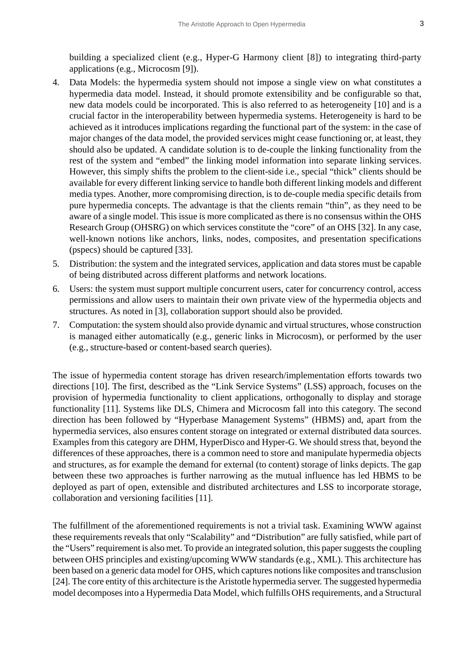building a specialized client (e.g., Hyper-G Harmony client [8]) to integrating third-party applications (e.g., Microcosm [9]).

- 4. Data Models: the hypermedia system should not impose a single view on what constitutes a hypermedia data model. Instead, it should promote extensibility and be configurable so that, new data models could be incorporated. This is also referred to as heterogeneity [10] and is a crucial factor in the interoperability between hypermedia systems. Heterogeneity is hard to be achieved as it introduces implications regarding the functional part of the system: in the case of major changes of the data model, the provided services might cease functioning or, at least, they should also be updated. A candidate solution is to de-couple the linking functionality from the rest of the system and "embed" the linking model information into separate linking services. However, this simply shifts the problem to the client-side i.e., special "thick" clients should be available for every different linking service to handle both different linking models and different media types. Another, more compromising direction, is to de-couple media specific details from pure hypermedia concepts. The advantage is that the clients remain "thin", as they need to be aware of a single model. This issue is more complicated as there is no consensus within the OHS Research Group (OHSRG) on which services constitute the "core" of an OHS [32]. In any case, well-known notions like anchors, links, nodes, composites, and presentation specifications (pspecs) should be captured [33].
- 5. Distribution: the system and the integrated services, application and data stores must be capable of being distributed across different platforms and network locations.
- 6. Users: the system must support multiple concurrent users, cater for concurrency control, access permissions and allow users to maintain their own private view of the hypermedia objects and structures. As noted in [3], collaboration support should also be provided.
- 7. Computation: the system should also provide dynamic and virtual structures, whose construction is managed either automatically (e.g., generic links in Microcosm), or performed by the user (e.g., structure-based or content-based search queries).

The issue of hypermedia content storage has driven research/implementation efforts towards two directions [10]. The first, described as the "Link Service Systems" (LSS) approach, focuses on the provision of hypermedia functionality to client applications, orthogonally to display and storage functionality [11]. Systems like DLS, Chimera and Microcosm fall into this category. The second direction has been followed by "Hyperbase Management Systems" (HBMS) and, apart from the hypermedia services, also ensures content storage on integrated or external distributed data sources. Examples from this category are DHM, HyperDisco and Hyper-G. We should stress that, beyond the differences of these approaches, there is a common need to store and manipulate hypermedia objects and structures, as for example the demand for external (to content) storage of links depicts. The gap between these two approaches is further narrowing as the mutual influence has led HBMS to be deployed as part of open, extensible and distributed architectures and LSS to incorporate storage, collaboration and versioning facilities [11].

The fulfillment of the aforementioned requirements is not a trivial task. Examining WWW against these requirements reveals that only "Scalability" and "Distribution" are fully satisfied, while part of the "Users" requirement is also met. To provide an integrated solution, this paper suggests the coupling between OHS principles and existing/upcoming WWW standards (e.g., XML). This architecture has been based on a generic data model for OHS, which captures notions like composites and transclusion [24]. The core entity of this architecture is the Aristotle hypermedia server. The suggested hypermedia model decomposes into a Hypermedia Data Model, which fulfills OHS requirements, and a Structural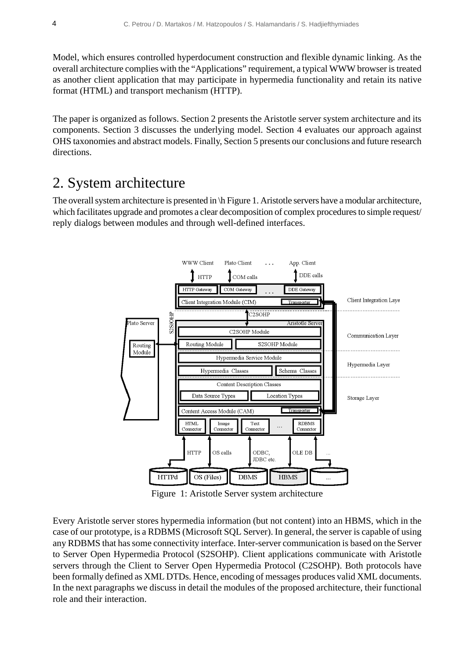Model, which ensures controlled hyperdocument construction and flexible dynamic linking. As the overall architecture complies with the "Applications" requirement, a typical WWW browser is treated as another client application that may participate in hypermedia functionality and retain its native format (HTML) and transport mechanism (HTTP).

The paper is organized as follows. Section 2 presents the Aristotle server system architecture and its components. Section 3 discusses the underlying model. Section 4 evaluates our approach against OHS taxonomies and abstract models. Finally, Section 5 presents our conclusions and future research directions.

### 2. System architecture

The overall system architecture is presented in \h Figure 1. Aristotle servers have a modular architecture, which facilitates upgrade and promotes a clear decomposition of complex procedures to simple request/ reply dialogs between modules and through well-defined interfaces.



Figure 1: Aristotle Server system architecture

Every Aristotle server stores hypermedia information (but not content) into an HBMS, which in the case of our prototype, is a RDBMS (Microsoft SQL Server). In general, the server is capable of using any RDBMS that has some connectivity interface. Inter-server communication is based on the Server to Server Open Hypermedia Protocol (S2SOHP). Client applications communicate with Aristotle servers through the Client to Server Open Hypermedia Protocol (C2SOHP). Both protocols have been formally defined as XML DTDs. Hence, encoding of messages produces valid XML documents. In the next paragraphs we discuss in detail the modules of the proposed architecture, their functional role and their interaction.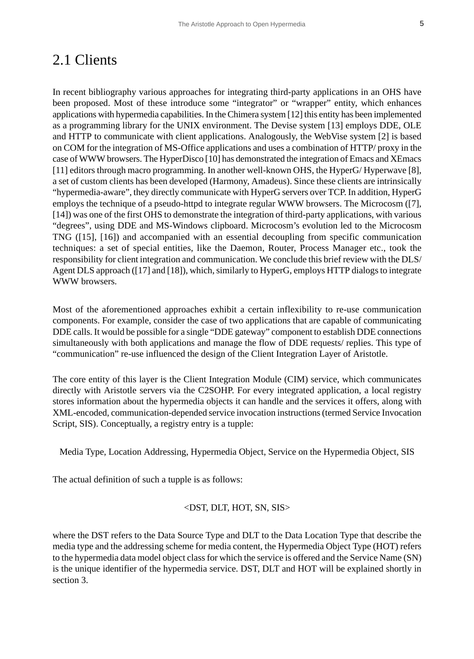## 2.1 Clients

In recent bibliography various approaches for integrating third-party applications in an OHS have been proposed. Most of these introduce some "integrator" or "wrapper" entity, which enhances applications with hypermedia capabilities. In the Chimera system [12] this entity has been implemented as a programming library for the UNIX environment. The Devise system [13] employs DDE, OLE and HTTP to communicate with client applications. Analogously, the WebVise system [2] is based on COM for the integration of MS-Office applications and uses a combination of HTTP/ proxy in the case of WWW browsers. The HyperDisco [10] has demonstrated the integration of Emacs and XEmacs [11] editors through macro programming. In another well-known OHS, the HyperG/Hyperwave [8], a set of custom clients has been developed (Harmony, Amadeus). Since these clients are intrinsically "hypermedia-aware", they directly communicate with HyperG servers over TCP. In addition, HyperG employs the technique of a pseudo-httpd to integrate regular WWW browsers. The Microcosm ([7], [14]) was one of the first OHS to demonstrate the integration of third-party applications, with various "degrees", using DDE and MS-Windows clipboard. Microcosm's evolution led to the Microcosm TNG ([15], [16]) and accompanied with an essential decoupling from specific communication techniques: a set of special entities, like the Daemon, Router, Process Manager etc., took the responsibility for client integration and communication. We conclude this brief review with the DLS/ Agent DLS approach ([17] and [18]), which, similarly to HyperG, employs HTTP dialogs to integrate WWW browsers.

Most of the aforementioned approaches exhibit a certain inflexibility to re-use communication components. For example, consider the case of two applications that are capable of communicating DDE calls. It would be possible for a single "DDE gateway" component to establish DDE connections simultaneously with both applications and manage the flow of DDE requests/ replies. This type of "communication" re-use influenced the design of the Client Integration Layer of Aristotle.

The core entity of this layer is the Client Integration Module (CIM) service, which communicates directly with Aristotle servers via the C2SOHP. For every integrated application, a local registry stores information about the hypermedia objects it can handle and the services it offers, along with XML-encoded, communication-depended service invocation instructions (termed Service Invocation Script, SIS). Conceptually, a registry entry is a tupple:

Media Type, Location Addressing, Hypermedia Object, Service on the Hypermedia Object, SIS

The actual definition of such a tupple is as follows:

#### <DST, DLT, HOT, SN, SIS>

where the DST refers to the Data Source Type and DLT to the Data Location Type that describe the media type and the addressing scheme for media content, the Hypermedia Object Type (HOT) refers to the hypermedia data model object class for which the service is offered and the Service Name (SN) is the unique identifier of the hypermedia service. DST, DLT and HOT will be explained shortly in section 3.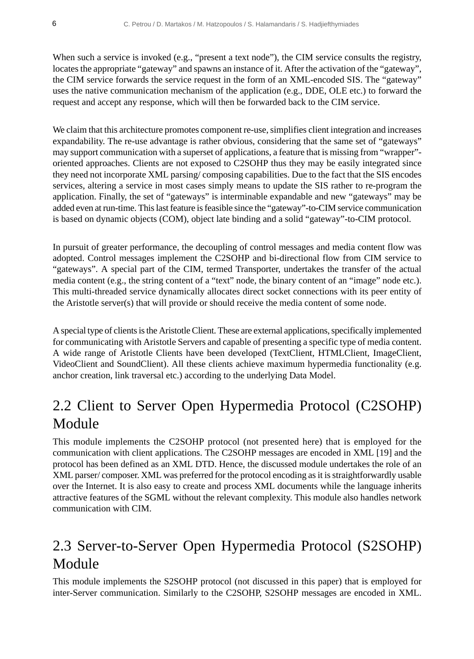When such a service is invoked (e.g., "present a text node"), the CIM service consults the registry, locates the appropriate "gateway" and spawns an instance of it. After the activation of the "gateway", the CIM service forwards the service request in the form of an XML-encoded SIS. The "gateway" uses the native communication mechanism of the application (e.g., DDE, OLE etc.) to forward the request and accept any response, which will then be forwarded back to the CIM service.

We claim that this architecture promotes component re-use, simplifies client integration and increases expandability. The re-use advantage is rather obvious, considering that the same set of "gateways" may support communication with a superset of applications, a feature that is missing from "wrapper" oriented approaches. Clients are not exposed to C2SOHP thus they may be easily integrated since they need not incorporate XML parsing/ composing capabilities. Due to the fact that the SIS encodes services, altering a service in most cases simply means to update the SIS rather to re-program the application. Finally, the set of "gateways" is interminable expandable and new "gateways" may be added even at run-time. This last feature is feasible since the "gateway"-to-CIM service communication is based on dynamic objects (COM), object late binding and a solid "gateway"-to-CIM protocol.

In pursuit of greater performance, the decoupling of control messages and media content flow was adopted. Control messages implement the C2SOHP and bi-directional flow from CIM service to "gateways". A special part of the CIM, termed Transporter, undertakes the transfer of the actual media content (e.g., the string content of a "text" node, the binary content of an "image" node etc.). This multi-threaded service dynamically allocates direct socket connections with its peer entity of the Aristotle server(s) that will provide or should receive the media content of some node.

A special type of clients is the Aristotle Client. These are external applications, specifically implemented for communicating with Aristotle Servers and capable of presenting a specific type of media content. A wide range of Aristotle Clients have been developed (TextClient, HTMLClient, ImageClient, VideoClient and SoundClient). All these clients achieve maximum hypermedia functionality (e.g. anchor creation, link traversal etc.) according to the underlying Data Model.

## 2.2 Client to Server Open Hypermedia Protocol (C2SOHP) Module

This module implements the C2SOHP protocol (not presented here) that is employed for the communication with client applications. The C2SOHP messages are encoded in XML [19] and the protocol has been defined as an XML DTD. Hence, the discussed module undertakes the role of an XML parser/ composer. XML was preferred for the protocol encoding as it is straightforwardly usable over the Internet. It is also easy to create and process XML documents while the language inherits attractive features of the SGML without the relevant complexity. This module also handles network communication with CIM.

# 2.3 Server-to-Server Open Hypermedia Protocol (S2SOHP) Module

This module implements the S2SOHP protocol (not discussed in this paper) that is employed for inter-Server communication. Similarly to the C2SOHP, S2SOHP messages are encoded in XML.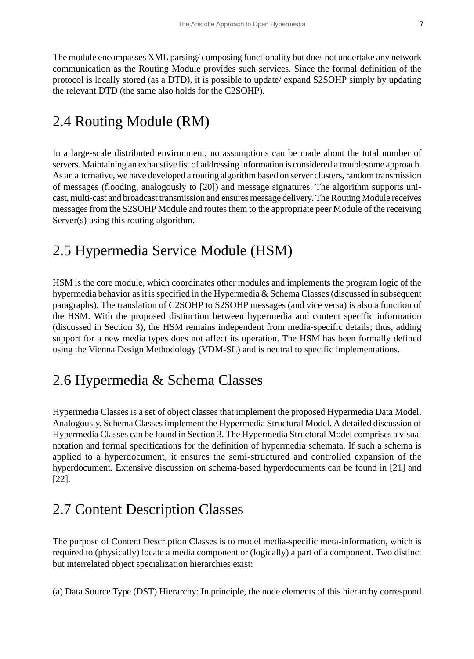The module encompasses XML parsing/ composing functionality but does not undertake any network communication as the Routing Module provides such services. Since the formal definition of the protocol is locally stored (as a DTD), it is possible to update/ expand S2SOHP simply by updating the relevant DTD (the same also holds for the C2SOHP).

## 2.4 Routing Module (RM)

In a large-scale distributed environment, no assumptions can be made about the total number of servers. Maintaining an exhaustive list of addressing information is considered a troublesome approach. As an alternative, we have developed a routing algorithm based on server clusters, random transmission of messages (flooding, analogously to [20]) and message signatures. The algorithm supports unicast, multi-cast and broadcast transmission and ensures message delivery. The Routing Module receives messages from the S2SOHP Module and routes them to the appropriate peer Module of the receiving Server(s) using this routing algorithm.

## 2.5 Hypermedia Service Module (HSM)

HSM is the core module, which coordinates other modules and implements the program logic of the hypermedia behavior as it is specified in the Hypermedia & Schema Classes (discussed in subsequent paragraphs). The translation of C2SOHP to S2SOHP messages (and vice versa) is also a function of the HSM. With the proposed distinction between hypermedia and content specific information (discussed in Section 3), the HSM remains independent from media-specific details; thus, adding support for a new media types does not affect its operation. The HSM has been formally defined using the Vienna Design Methodology (VDM-SL) and is neutral to specific implementations.

# 2.6 Hypermedia & Schema Classes

Hypermedia Classes is a set of object classes that implement the proposed Hypermedia Data Model. Analogously, Schema Classes implement the Hypermedia Structural Model. A detailed discussion of Hypermedia Classes can be found in Section 3. The Hypermedia Structural Model comprises a visual notation and formal specifications for the definition of hypermedia schemata. If such a schema is applied to a hyperdocument, it ensures the semi-structured and controlled expansion of the hyperdocument. Extensive discussion on schema-based hyperdocuments can be found in [21] and [22].

## 2.7 Content Description Classes

The purpose of Content Description Classes is to model media-specific meta-information, which is required to (physically) locate a media component or (logically) a part of a component. Two distinct but interrelated object specialization hierarchies exist:

(a) Data Source Type (DST) Hierarchy: In principle, the node elements of this hierarchy correspond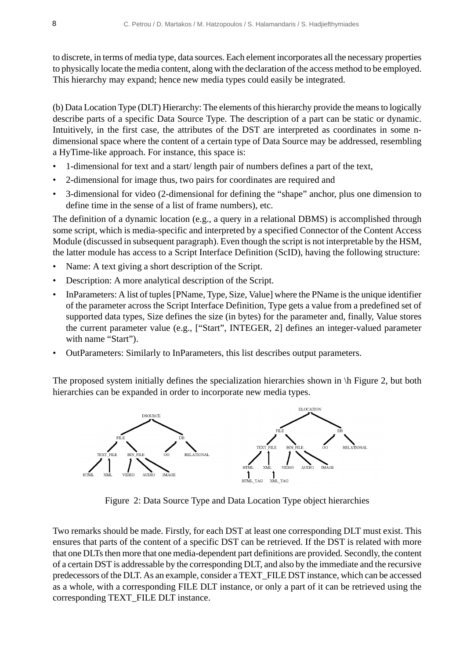to discrete, in terms of media type, data sources. Each element incorporates all the necessary properties to physically locate the media content, along with the declaration of the access method to be employed. This hierarchy may expand; hence new media types could easily be integrated.

(b) Data Location Type (DLT) Hierarchy: The elements of this hierarchy provide the means to logically describe parts of a specific Data Source Type. The description of a part can be static or dynamic. Intuitively, in the first case, the attributes of the DST are interpreted as coordinates in some ndimensional space where the content of a certain type of Data Source may be addressed, resembling a HyTime-like approach. For instance, this space is:

- 1-dimensional for text and a start/ length pair of numbers defines a part of the text,
- 2-dimensional for image thus, two pairs for coordinates are required and
- 3-dimensional for video (2-dimensional for defining the "shape" anchor, plus one dimension to define time in the sense of a list of frame numbers), etc.

The definition of a dynamic location (e.g., a query in a relational DBMS) is accomplished through some script, which is media-specific and interpreted by a specified Connector of the Content Access Module (discussed in subsequent paragraph). Even though the script is not interpretable by the HSM, the latter module has access to a Script Interface Definition (ScID), having the following structure:

- Name: A text giving a short description of the Script.
- Description: A more analytical description of the Script.
- InParameters: A list of tuples [PName, Type, Size, Value] where the PName is the unique identifier of the parameter across the Script Interface Definition, Type gets a value from a predefined set of supported data types, Size defines the size (in bytes) for the parameter and, finally, Value stores the current parameter value (e.g., ["Start", INTEGER, 2] defines an integer-valued parameter with name "Start").
- OutParameters: Similarly to InParameters, this list describes output parameters.

The proposed system initially defines the specialization hierarchies shown in \h Figure 2, but both hierarchies can be expanded in order to incorporate new media types.



Figure 2: Data Source Type and Data Location Type object hierarchies

Two remarks should be made. Firstly, for each DST at least one corresponding DLT must exist. This ensures that parts of the content of a specific DST can be retrieved. If the DST is related with more that one DLTs then more that one media-dependent part definitions are provided. Secondly, the content of a certain DST is addressable by the corresponding DLT, and also by the immediate and the recursive predecessors of the DLT. As an example, consider a TEXT\_FILE DST instance, which can be accessed as a whole, with a corresponding FILE DLT instance, or only a part of it can be retrieved using the corresponding TEXT\_FILE DLT instance.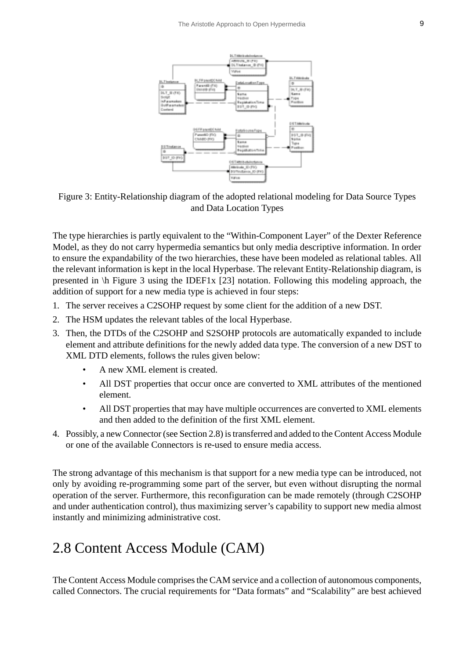

Figure 3: Entity-Relationship diagram of the adopted relational modeling for Data Source Types and Data Location Types

The type hierarchies is partly equivalent to the "Within-Component Layer" of the Dexter Reference Model, as they do not carry hypermedia semantics but only media descriptive information. In order to ensure the expandability of the two hierarchies, these have been modeled as relational tables. All the relevant information is kept in the local Hyperbase. The relevant Entity-Relationship diagram, is presented in \h Figure 3 using the IDEF1x [23] notation. Following this modeling approach, the addition of support for a new media type is achieved in four steps:

- 1. The server receives a C2SOHP request by some client for the addition of a new DST.
- 2. The HSM updates the relevant tables of the local Hyperbase.
- 3. Then, the DTDs of the C2SOHP and S2SOHP protocols are automatically expanded to include element and attribute definitions for the newly added data type. The conversion of a new DST to XML DTD elements, follows the rules given below:
	- A new XML element is created.
	- All DST properties that occur once are converted to XML attributes of the mentioned element.
	- All DST properties that may have multiple occurrences are converted to XML elements and then added to the definition of the first XML element.
- 4. Possibly, a new Connector (see Section 2.8) is transferred and added to the Content Access Module or one of the available Connectors is re-used to ensure media access.

The strong advantage of this mechanism is that support for a new media type can be introduced, not only by avoiding re-programming some part of the server, but even without disrupting the normal operation of the server. Furthermore, this reconfiguration can be made remotely (through C2SOHP and under authentication control), thus maximizing server's capability to support new media almost instantly and minimizing administrative cost.

## 2.8 Content Access Module (CAM)

The Content Access Module comprises the CAM service and a collection of autonomous components, called Connectors. The crucial requirements for "Data formats" and "Scalability" are best achieved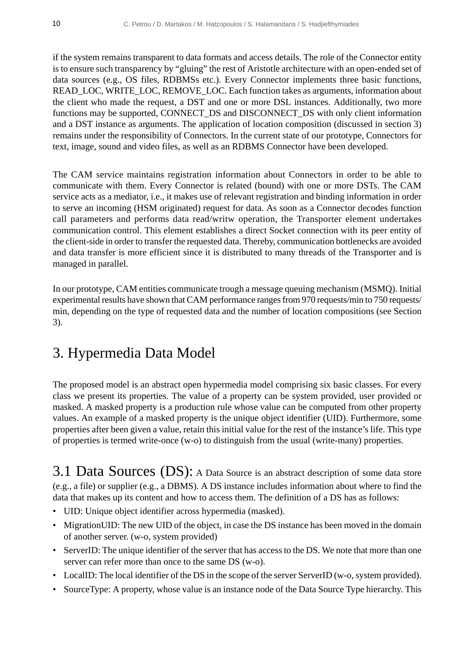if the system remains transparent to data formats and access details. The role of the Connector entity is to ensure such transparency by "gluing" the rest of Aristotle architecture with an open-ended set of data sources (e.g., OS files, RDBMSs etc.). Every Connector implements three basic functions, READ\_LOC, WRITE\_LOC, REMOVE\_LOC. Each function takes as arguments, information about the client who made the request, a DST and one or more DSL instances. Additionally, two more functions may be supported, CONNECT\_DS and DISCONNECT\_DS with only client information and a DST instance as arguments. The application of location composition (discussed in section 3) remains under the responsibility of Connectors. In the current state of our prototype, Connectors for text, image, sound and video files, as well as an RDBMS Connector have been developed.

The CAM service maintains registration information about Connectors in order to be able to communicate with them. Every Connector is related (bound) with one or more DSTs. The CAM service acts as a mediator, i.e., it makes use of relevant registration and binding information in order to serve an incoming (HSM originated) request for data. As soon as a Connector decodes function call parameters and performs data read/writw operation, the Transporter element undertakes communication control. This element establishes a direct Socket connection with its peer entity of the client-side in order to transfer the requested data. Thereby, communication bottlenecks are avoided and data transfer is more efficient since it is distributed to many threads of the Transporter and is managed in parallel.

In our prototype, CAM entities communicate trough a message queuing mechanism (MSMQ). Initial experimental results have shown that CAM performance ranges from 970 requests/min to 750 requests/ min, depending on the type of requested data and the number of location compositions (see Section 3).

# 3. Hypermedia Data Model

The proposed model is an abstract open hypermedia model comprising six basic classes. For every class we present its properties. The value of a property can be system provided, user provided or masked. A masked property is a production rule whose value can be computed from other property values. An example of a masked property is the unique object identifier (UID). Furthermore, some properties after been given a value, retain this initial value for the rest of the instance's life. This type of properties is termed write-once (w-o) to distinguish from the usual (write-many) properties.

3.1 Data Sources (DS): A Data Source is an abstract description of some data store (e.g., a file) or supplier (e.g., a DBMS). A DS instance includes information about where to find the data that makes up its content and how to access them. The definition of a DS has as follows:

- UID: Unique object identifier across hypermedia (masked).
- Migration UID: The new UID of the object, in case the DS instance has been moved in the domain of another server. (w-o, system provided)
- ServerID: The unique identifier of the server that has access to the DS. We note that more than one server can refer more than once to the same DS (w-o).
- LocalID: The local identifier of the DS in the scope of the server ServerID (w-o, system provided).
- SourceType: A property, whose value is an instance node of the Data Source Type hierarchy. This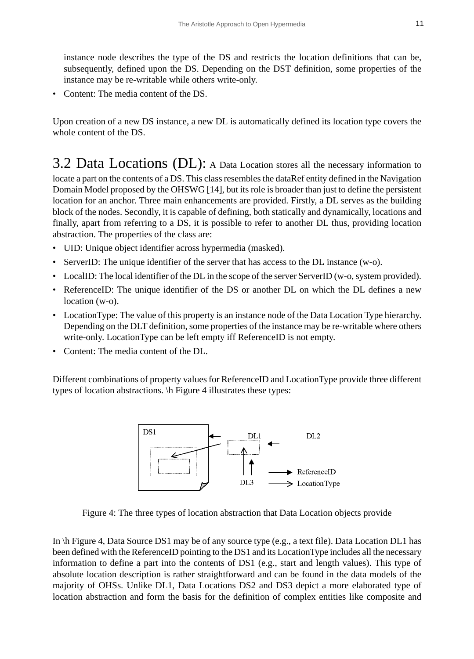instance node describes the type of the DS and restricts the location definitions that can be, subsequently, defined upon the DS. Depending on the DST definition, some properties of the instance may be re-writable while others write-only.

• Content: The media content of the DS.

Upon creation of a new DS instance, a new DL is automatically defined its location type covers the whole content of the DS.

3.2 Data Locations (DL): A Data Location stores all the necessary information to locate a part on the contents of a DS. This class resembles the dataRef entity defined in the Navigation Domain Model proposed by the OHSWG [14], but its role is broader than just to define the persistent location for an anchor. Three main enhancements are provided. Firstly, a DL serves as the building block of the nodes. Secondly, it is capable of defining, both statically and dynamically, locations and finally, apart from referring to a DS, it is possible to refer to another DL thus, providing location abstraction. The properties of the class are:

- UID: Unique object identifier across hypermedia (masked).
- ServerID: The unique identifier of the server that has access to the DL instance (w-o).
- LocalID: The local identifier of the DL in the scope of the server ServerID (w-o, system provided).
- ReferenceID: The unique identifier of the DS or another DL on which the DL defines a new location (w-o).
- LocationType: The value of this property is an instance node of the Data Location Type hierarchy. Depending on the DLT definition, some properties of the instance may be re-writable where others write-only. LocationType can be left empty iff ReferenceID is not empty.
- Content: The media content of the DL.

Different combinations of property values for ReferenceID and LocationType provide three different types of location abstractions. \h Figure 4 illustrates these types:



Figure 4: The three types of location abstraction that Data Location objects provide

In \h Figure 4, Data Source DS1 may be of any source type (e.g., a text file). Data Location DL1 has been defined with the ReferenceID pointing to the DS1 and its LocationType includes all the necessary information to define a part into the contents of DS1 (e.g., start and length values). This type of absolute location description is rather straightforward and can be found in the data models of the majority of OHSs. Unlike DL1, Data Locations DS2 and DS3 depict a more elaborated type of location abstraction and form the basis for the definition of complex entities like composite and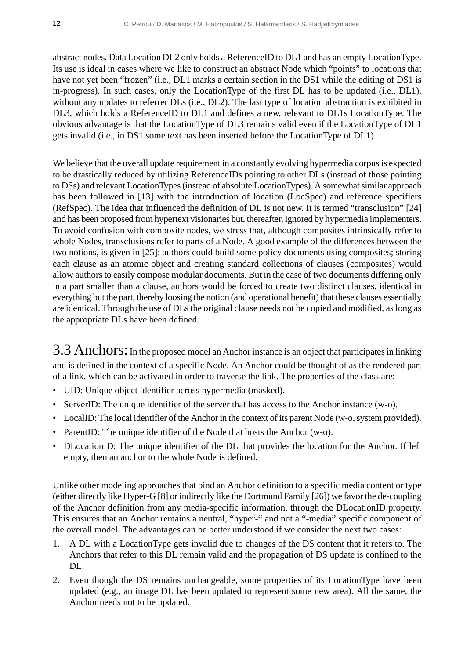abstract nodes. Data Location DL2 only holds a ReferenceID to DL1 and has an empty LocationType. Its use is ideal in cases where we like to construct an abstract Node which "points" to locations that have not yet been "frozen" (i.e., DL1 marks a certain section in the DS1 while the editing of DS1 is in-progress). In such cases, only the LocationType of the first DL has to be updated (i.e., DL1), without any updates to referrer DLs (i.e., DL2). The last type of location abstraction is exhibited in DL3, which holds a ReferenceID to DL1 and defines a new, relevant to DL1s LocationType. The obvious advantage is that the LocationType of DL3 remains valid even if the LocationType of DL1 gets invalid (i.e., in DS1 some text has been inserted before the LocationType of DL1).

We believe that the overall update requirement in a constantly evolving hypermedia corpus is expected to be drastically reduced by utilizing ReferenceIDs pointing to other DLs (instead of those pointing to DSs) and relevant LocationTypes (instead of absolute LocationTypes). A somewhat similar approach has been followed in [13] with the introduction of location (LocSpec) and reference specifiers (RefSpec). The idea that influenced the definition of DL is not new. It is termed "transclusion" [24] and has been proposed from hypertext visionaries but, thereafter, ignored by hypermedia implementers. To avoid confusion with composite nodes, we stress that, although composites intrinsically refer to whole Nodes, transclusions refer to parts of a Node. A good example of the differences between the two notions, is given in [25]: authors could build some policy documents using composites; storing each clause as an atomic object and creating standard collections of clauses (composites) would allow authors to easily compose modular documents. But in the case of two documents differing only in a part smaller than a clause, authors would be forced to create two distinct clauses, identical in everything but the part, thereby loosing the notion (and operational benefit) that these clauses essentially are identical. Through the use of DLs the original clause needs not be copied and modified, as long as the appropriate DLs have been defined.

3.3 Anchors: In the proposed model an Anchor instance is an object that participates in linking and is defined in the context of a specific Node. An Anchor could be thought of as the rendered part of a link, which can be activated in order to traverse the link. The properties of the class are:

- UID: Unique object identifier across hypermedia (masked).
- ServerID: The unique identifier of the server that has access to the Anchor instance (w-o).
- LocalID: The local identifier of the Anchor in the context of its parent Node (w-o, system provided).
- ParentID: The unique identifier of the Node that hosts the Anchor (w-o).
- DLocationID: The unique identifier of the DL that provides the location for the Anchor. If left empty, then an anchor to the whole Node is defined.

Unlike other modeling approaches that bind an Anchor definition to a specific media content or type (either directly like Hyper-G [8] or indirectly like the Dortmund Family [26]) we favor the de-coupling of the Anchor definition from any media-specific information, through the DLocationID property. This ensures that an Anchor remains a neutral, "hyper-" and not a "-media" specific component of the overall model. The advantages can be better understood if we consider the next two cases:

- 1. A DL with a LocationType gets invalid due to changes of the DS content that it refers to. The Anchors that refer to this DL remain valid and the propagation of DS update is confined to the DL.
- 2. Even though the DS remains unchangeable, some properties of its LocationType have been updated (e.g., an image DL has been updated to represent some new area). All the same, the Anchor needs not to be updated.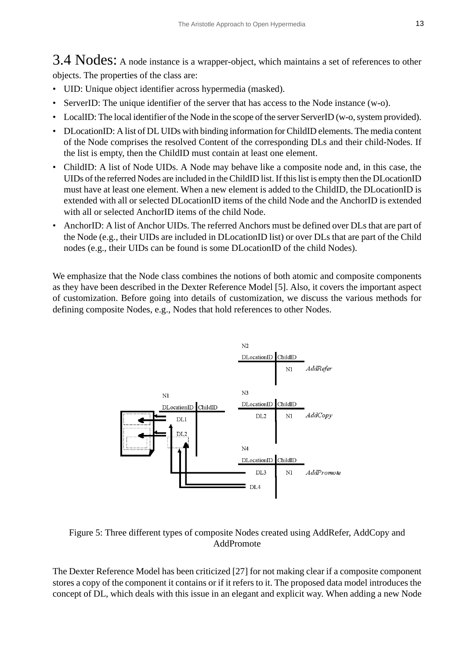3.4 Nodes: A node instance is a wrapper-object, which maintains a set of references to other objects. The properties of the class are:

- UID: Unique object identifier across hypermedia (masked).
- ServerID: The unique identifier of the server that has access to the Node instance (w-o).
- LocalID: The local identifier of the Node in the scope of the server ServerID (w-o, system provided).
- DLocationID: A list of DL UIDs with binding information for ChildID elements. The media content of the Node comprises the resolved Content of the corresponding DLs and their child-Nodes. If the list is empty, then the ChildID must contain at least one element.
- ChildID: A list of Node UIDs. A Node may behave like a composite node and, in this case, the UIDs of the referred Nodes are included in the ChildID list. If this list is empty then the DLocationID must have at least one element. When a new element is added to the ChildID, the DLocationID is extended with all or selected DLocationID items of the child Node and the AnchorID is extended with all or selected AnchorID items of the child Node.
- AnchorID: A list of Anchor UIDs. The referred Anchors must be defined over DLs that are part of the Node (e.g., their UIDs are included in DLocationID list) or over DLs that are part of the Child nodes (e.g., their UIDs can be found is some DLocationID of the child Nodes).

We emphasize that the Node class combines the notions of both atomic and composite components as they have been described in the Dexter Reference Model [5]. Also, it covers the important aspect of customization. Before going into details of customization, we discuss the various methods for defining composite Nodes, e.g., Nodes that hold references to other Nodes.



#### Figure 5: Three different types of composite Nodes created using AddRefer, AddCopy and AddPromote

The Dexter Reference Model has been criticized [27] for not making clear if a composite component stores a copy of the component it contains or if it refers to it. The proposed data model introduces the concept of DL, which deals with this issue in an elegant and explicit way. When adding a new Node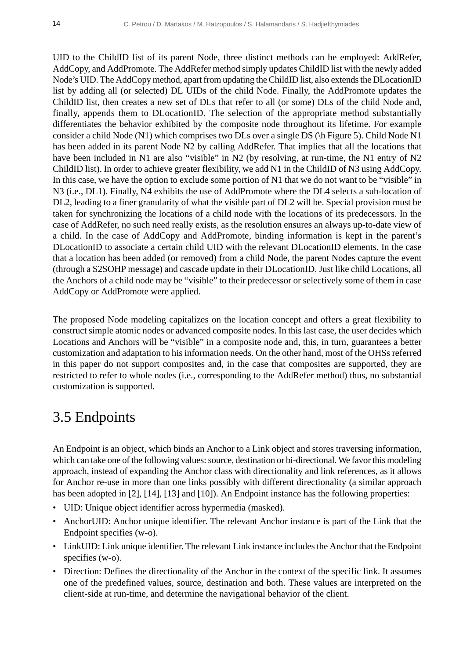UID to the ChildID list of its parent Node, three distinct methods can be employed: AddRefer, AddCopy, and AddPromote. The AddRefer method simply updates ChildID list with the newly added Node's UID. The AddCopy method, apart from updating the ChildID list, also extends the DLocationID list by adding all (or selected) DL UIDs of the child Node. Finally, the AddPromote updates the ChildID list, then creates a new set of DLs that refer to all (or some) DLs of the child Node and, finally, appends them to DLocationID. The selection of the appropriate method substantially differentiates the behavior exhibited by the composite node throughout its lifetime. For example consider a child Node (N1) which comprises two DLs over a single DS (\h Figure 5). Child Node N1 has been added in its parent Node N2 by calling AddRefer. That implies that all the locations that have been included in N1 are also "visible" in N2 (by resolving, at run-time, the N1 entry of N2 ChildID list). In order to achieve greater flexibility, we add N1 in the ChildID of N3 using AddCopy. In this case, we have the option to exclude some portion of N1 that we do not want to be "visible" in N3 (i.e., DL1). Finally, N4 exhibits the use of AddPromote where the DL4 selects a sub-location of DL2, leading to a finer granularity of what the visible part of DL2 will be. Special provision must be taken for synchronizing the locations of a child node with the locations of its predecessors. In the case of AddRefer, no such need really exists, as the resolution ensures an always up-to-date view of a child. In the case of AddCopy and AddPromote, binding information is kept in the parent's DLocationID to associate a certain child UID with the relevant DLocationID elements. In the case that a location has been added (or removed) from a child Node, the parent Nodes capture the event (through a S2SOHP message) and cascade update in their DLocationID. Just like child Locations, all the Anchors of a child node may be "visible" to their predecessor or selectively some of them in case AddCopy or AddPromote were applied.

The proposed Node modeling capitalizes on the location concept and offers a great flexibility to construct simple atomic nodes or advanced composite nodes. In this last case, the user decides which Locations and Anchors will be "visible" in a composite node and, this, in turn, guarantees a better customization and adaptation to his information needs. On the other hand, most of the OHSs referred in this paper do not support composites and, in the case that composites are supported, they are restricted to refer to whole nodes (i.e., corresponding to the AddRefer method) thus, no substantial customization is supported.

# 3.5 Endpoints

An Endpoint is an object, which binds an Anchor to a Link object and stores traversing information, which can take one of the following values: source, destination or bi-directional. We favor this modeling approach, instead of expanding the Anchor class with directionality and link references, as it allows for Anchor re-use in more than one links possibly with different directionality (a similar approach has been adopted in [2], [14], [13] and [10]). An Endpoint instance has the following properties:

- UID: Unique object identifier across hypermedia (masked).
- AnchorUID: Anchor unique identifier. The relevant Anchor instance is part of the Link that the Endpoint specifies (w-o).
- LinkUID: Link unique identifier. The relevant Link instance includes the Anchor that the Endpoint specifies (w-o).
- Direction: Defines the directionality of the Anchor in the context of the specific link. It assumes one of the predefined values, source, destination and both. These values are interpreted on the client-side at run-time, and determine the navigational behavior of the client.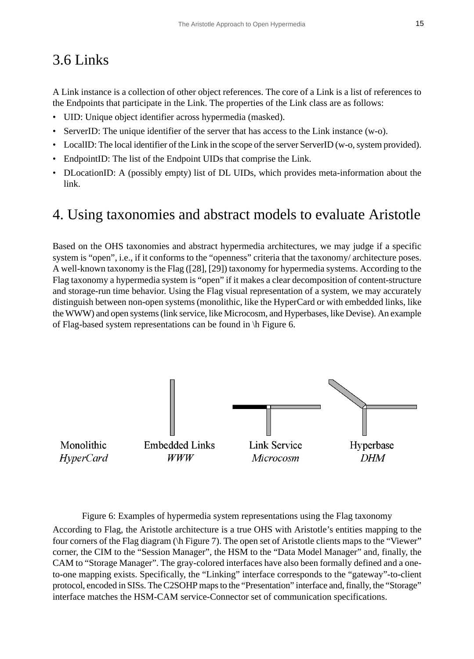# 3.6 Links

A Link instance is a collection of other object references. The core of a Link is a list of references to the Endpoints that participate in the Link. The properties of the Link class are as follows:

- UID: Unique object identifier across hypermedia (masked).
- ServerID: The unique identifier of the server that has access to the Link instance (w-o).
- LocalID: The local identifier of the Link in the scope of the server ServerID (w-o, system provided).
- EndpointID: The list of the Endpoint UIDs that comprise the Link.
- DLocationID: A (possibly empty) list of DL UIDs, which provides meta-information about the link.

## 4. Using taxonomies and abstract models to evaluate Aristotle

Based on the OHS taxonomies and abstract hypermedia architectures, we may judge if a specific system is "open", i.e., if it conforms to the "openness" criteria that the taxonomy/ architecture poses. A well-known taxonomy is the Flag ([28], [29]) taxonomy for hypermedia systems. According to the Flag taxonomy a hypermedia system is "open" if it makes a clear decomposition of content-structure and storage-run time behavior. Using the Flag visual representation of a system, we may accurately distinguish between non-open systems (monolithic, like the HyperCard or with embedded links, like the WWW) and open systems (link service, like Microcosm, and Hyperbases, like Devise). An example of Flag-based system representations can be found in \h Figure 6.



Figure 6: Examples of hypermedia system representations using the Flag taxonomy According to Flag, the Aristotle architecture is a true OHS with Aristotle's entities mapping to the four corners of the Flag diagram ( $\hbar$  Figure 7). The open set of Aristotle clients maps to the "Viewer" corner, the CIM to the "Session Manager", the HSM to the "Data Model Manager" and, finally, the CAM to "Storage Manager". The gray-colored interfaces have also been formally defined and a oneto-one mapping exists. Specifically, the "Linking" interface corresponds to the "gateway"-to-client protocol, encoded in SISs. The C2SOHP maps to the "Presentation" interface and, finally, the "Storage" interface matches the HSM-CAM service-Connector set of communication specifications.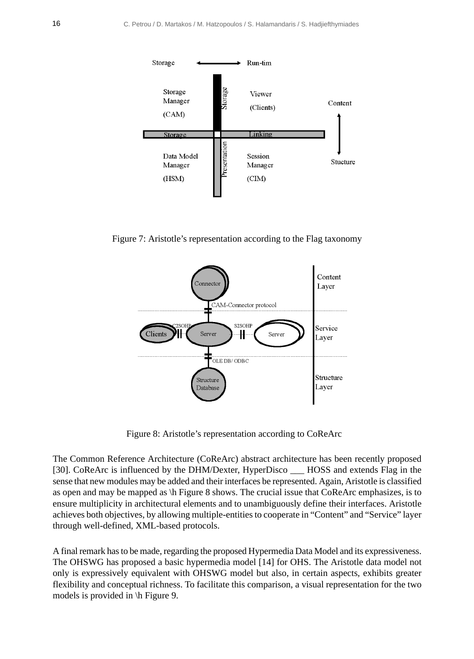

Figure 7: Aristotle's representation according to the Flag taxonomy



Figure 8: Aristotle's representation according to CoReArc

The Common Reference Architecture (CoReArc) abstract architecture has been recently proposed [30]. CoReArc is influenced by the DHM/Dexter, HyperDisco \_\_\_\_\_ HOSS and extends Flag in the sense that new modules may be added and their interfaces be represented. Again, Aristotle is classified as open and may be mapped as \h Figure 8 shows. The crucial issue that CoReArc emphasizes, is to ensure multiplicity in architectural elements and to unambiguously define their interfaces. Aristotle achieves both objectives, by allowing multiple-entities to cooperate in "Content" and "Service" layer through well-defined, XML-based protocols.

A final remark has to be made, regarding the proposed Hypermedia Data Model and its expressiveness. The OHSWG has proposed a basic hypermedia model [14] for OHS. The Aristotle data model not only is expressively equivalent with OHSWG model but also, in certain aspects, exhibits greater flexibility and conceptual richness. To facilitate this comparison, a visual representation for the two models is provided in \h Figure 9.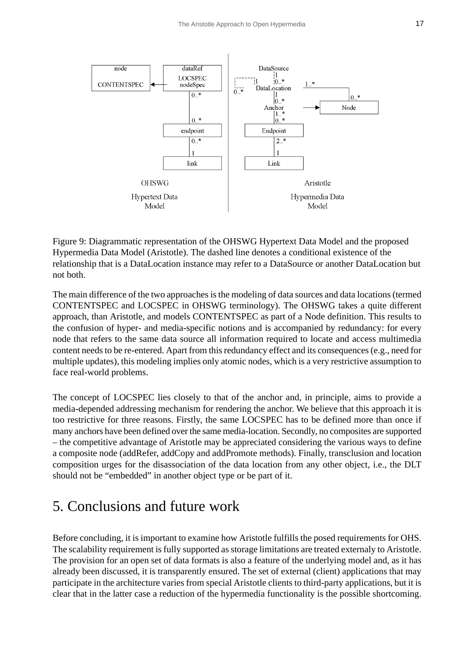

Figure 9: Diagrammatic representation of the OHSWG Hypertext Data Model and the proposed Hypermedia Data Model (Aristotle). The dashed line denotes a conditional existence of the relationship that is a DataLocation instance may refer to a DataSource or another DataLocation but not both.

The main difference of the two approaches is the modeling of data sources and data locations (termed CONTENTSPEC and LOCSPEC in OHSWG terminology). The OHSWG takes a quite different approach, than Aristotle, and models CONTENTSPEC as part of a Node definition. This results to the confusion of hyper- and media-specific notions and is accompanied by redundancy: for every node that refers to the same data source all information required to locate and access multimedia content needs to be re-entered. Apart from this redundancy effect and its consequences (e.g., need for multiple updates), this modeling implies only atomic nodes, which is a very restrictive assumption to face real-world problems.

The concept of LOCSPEC lies closely to that of the anchor and, in principle, aims to provide a media-depended addressing mechanism for rendering the anchor. We believe that this approach it is too restrictive for three reasons. Firstly, the same LOCSPEC has to be defined more than once if many anchors have been defined over the same media-location. Secondly, no composites are supported – the competitive advantage of Aristotle may be appreciated considering the various ways to define a composite node (addRefer, addCopy and addPromote methods). Finally, transclusion and location composition urges for the disassociation of the data location from any other object, i.e., the DLT should not be "embedded" in another object type or be part of it.

## 5. Conclusions and future work

Before concluding, it is important to examine how Aristotle fulfills the posed requirements for OHS. The scalability requirement is fully supported as storage limitations are treated externaly to Aristotle. The provision for an open set of data formats is also a feature of the underlying model and, as it has already been discussed, it is transparently ensured. The set of external (client) applications that may participate in the architecture varies from special Aristotle clients to third-party applications, but it is clear that in the latter case a reduction of the hypermedia functionality is the possible shortcoming.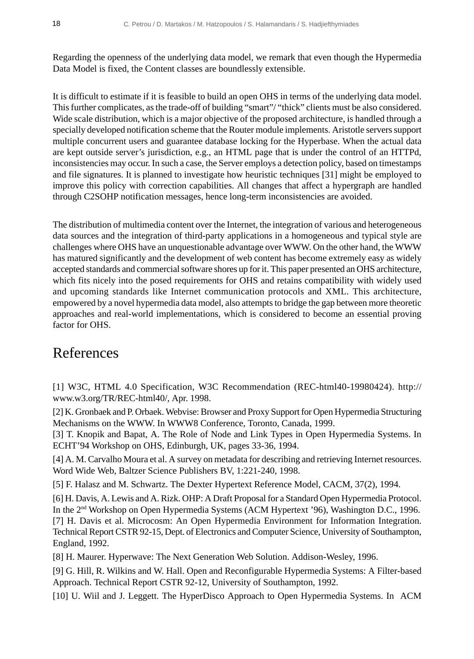Regarding the openness of the underlying data model, we remark that even though the Hypermedia Data Model is fixed, the Content classes are boundlessly extensible.

It is difficult to estimate if it is feasible to build an open OHS in terms of the underlying data model. This further complicates, as the trade-off of building "smart"/ "thick" clients must be also considered. Wide scale distribution, which is a major objective of the proposed architecture, is handled through a specially developed notification scheme that the Router module implements. Aristotle servers support multiple concurrent users and guarantee database locking for the Hyperbase. When the actual data are kept outside server's jurisdiction, e.g., an HTML page that is under the control of an HTTPd, inconsistencies may occur. In such a case, the Server employs a detection policy, based on timestamps and file signatures. It is planned to investigate how heuristic techniques [31] might be employed to improve this policy with correction capabilities. All changes that affect a hypergraph are handled through C2SOHP notification messages, hence long-term inconsistencies are avoided.

The distribution of multimedia content over the Internet, the integration of various and heterogeneous data sources and the integration of third-party applications in a homogeneous and typical style are challenges where OHS have an unquestionable advantage over WWW. On the other hand, the WWW has matured significantly and the development of web content has become extremely easy as widely accepted standards and commercial software shores up for it. This paper presented an OHS architecture, which fits nicely into the posed requirements for OHS and retains compatibility with widely used and upcoming standards like Internet communication protocols and XML. This architecture, empowered by a novel hypermedia data model, also attempts to bridge the gap between more theoretic approaches and real-world implementations, which is considered to become an essential proving factor for OHS.

## References

[1] W3C, HTML 4.0 Specification, W3C Recommendation (REC-html40-19980424). http:// www.w3.org/TR/REC-html40/, Apr. 1998.

[2] K. Gronbaek and P. Orbaek. Webvise: Browser and Proxy Support for Open Hypermedia Structuring Mechanisms on the WWW. In WWW8 Conference, Toronto, Canada, 1999.

[3] T. Knopik and Bapat, A. The Role of Node and Link Types in Open Hypermedia Systems. In ECHT'94 Workshop on OHS, Edinburgh, UK, pages 33-36, 1994.

[4] A. M. Carvalho Moura et al. A survey on metadata for describing and retrieving Internet resources. Word Wide Web, Baltzer Science Publishers BV, 1:221-240, 1998.

[5] F. Halasz and M. Schwartz. The Dexter Hypertext Reference Model, CACM, 37(2), 1994.

[6] H. Davis, A. Lewis and A. Rizk. OHP: A Draft Proposal for a Standard Open Hypermedia Protocol. In the 2nd Workshop on Open Hypermedia Systems (ACM Hypertext '96), Washington D.C., 1996. [7] H. Davis et al. Microcosm: An Open Hypermedia Environment for Information Integration. Technical Report CSTR 92-15, Dept. of Electronics and Computer Science, University of Southampton, England, 1992.

[8] H. Maurer. Hyperwave: The Next Generation Web Solution. Addison-Wesley, 1996.

[9] G. Hill, R. Wilkins and W. Hall. Open and Reconfigurable Hypermedia Systems: A Filter-based Approach. Technical Report CSTR 92-12, University of Southampton, 1992.

[10] U. Wiil and J. Leggett. The HyperDisco Approach to Open Hypermedia Systems. In ACM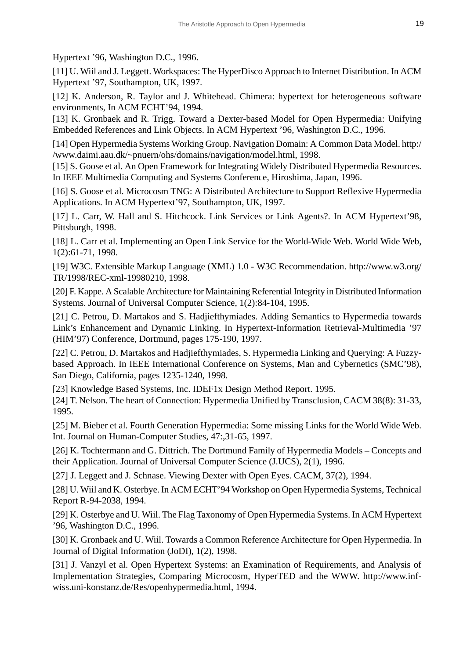Hypertext '96, Washington D.C., 1996.

[11] U. Wiil and J. Leggett. Workspaces: The HyperDisco Approach to Internet Distribution. In ACM Hypertext '97, Southampton, UK, 1997.

[12] K. Anderson, R. Taylor and J. Whitehead. Chimera: hypertext for heterogeneous software environments, In ACM ECHT'94, 1994.

[13] K. Gronbaek and R. Trigg. Toward a Dexter-based Model for Open Hypermedia: Unifying Embedded References and Link Objects. In ACM Hypertext '96, Washington D.C., 1996.

[14] Open Hypermedia Systems Working Group. Navigation Domain: A Common Data Model. http:/ /www.daimi.aau.dk/~pnuern/ohs/domains/navigation/model.html, 1998.

[15] S. Goose et al. An Open Framework for Integrating Widely Distributed Hypermedia Resources. In IEEE Multimedia Computing and Systems Conference, Hiroshima, Japan, 1996.

[16] S. Goose et al. Microcosm TNG: A Distributed Architecture to Support Reflexive Hypermedia Applications. In ACM Hypertext'97, Southampton, UK, 1997.

[17] L. Carr, W. Hall and S. Hitchcock. Link Services or Link Agents?. In ACM Hypertext'98, Pittsburgh, 1998.

[18] L. Carr et al. Implementing an Open Link Service for the World-Wide Web. World Wide Web, 1(2):61-71, 1998.

[19] W3C. Extensible Markup Language (XML) 1.0 - W3C Recommendation. http://www.w3.org/ TR/1998/REC-xml-19980210, 1998.

[20] F. Kappe. A Scalable Architecture for Maintaining Referential Integrity in Distributed Information Systems. Journal of Universal Computer Science, 1(2):84-104, 1995.

[21] C. Petrou, D. Martakos and S. Hadjiefthymiades. Adding Semantics to Hypermedia towards Link's Enhancement and Dynamic Linking. In Hypertext-Information Retrieval-Multimedia '97 (HIM'97) Conference, Dortmund, pages 175-190, 1997.

[22] C. Petrou, D. Martakos and Hadjiefthymiades, S. Hypermedia Linking and Querying: A Fuzzybased Approach. In IEEE International Conference on Systems, Man and Cybernetics (SMC'98), San Diego, California, pages 1235-1240, 1998.

[23] Knowledge Based Systems, Inc. IDEF1x Design Method Report. 1995.

[24] T. Nelson. The heart of Connection: Hypermedia Unified by Transclusion, CACM 38(8): 31-33, 1995.

[25] M. Bieber et al. Fourth Generation Hypermedia: Some missing Links for the World Wide Web. Int. Journal on Human-Computer Studies, 47:,31-65, 1997.

[26] K. Tochtermann and G. Dittrich. The Dortmund Family of Hypermedia Models – Concepts and their Application. Journal of Universal Computer Science (J.UCS), 2(1), 1996.

[27] J. Leggett and J. Schnase. Viewing Dexter with Open Eyes. CACM, 37(2), 1994.

[28] U. Wiil and K. Osterbye. In ACM ECHT'94 Workshop on Open Hypermedia Systems, Technical Report R-94-2038, 1994.

[29] K. Osterbye and U. Wiil. The Flag Taxonomy of Open Hypermedia Systems. In ACM Hypertext '96, Washington D.C., 1996.

[30] K. Gronbaek and U. Wiil. Towards a Common Reference Architecture for Open Hypermedia. In Journal of Digital Information (JoDI), 1(2), 1998.

[31] J. Vanzyl et al. Open Hypertext Systems: an Examination of Requirements, and Analysis of Implementation Strategies, Comparing Microcosm, HyperTED and the WWW. http://www.infwiss.uni-konstanz.de/Res/openhypermedia.html, 1994.